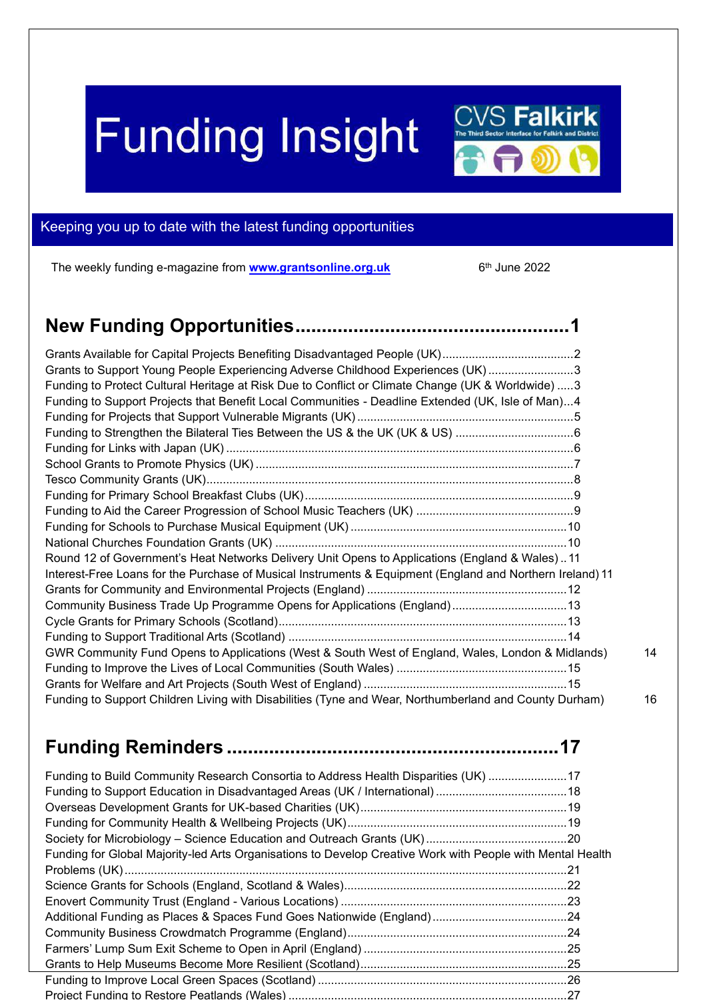# **Funding Insight**

<span id="page-0-0"></span>

The weekly funding e-magazine from **[www.grantsonline.org.uk](http://www.grantsonline.org.uk/)** 6

 $6<sup>th</sup>$  June 2022

**CVS Falkirk** 

| Grants to Support Young People Experiencing Adverse Childhood Experiences (UK)3                           |    |
|-----------------------------------------------------------------------------------------------------------|----|
| Funding to Protect Cultural Heritage at Risk Due to Conflict or Climate Change (UK & Worldwide)  3        |    |
| Funding to Support Projects that Benefit Local Communities - Deadline Extended (UK, Isle of Man)4         |    |
|                                                                                                           |    |
| Funding to Strengthen the Bilateral Ties Between the US & the UK (UK & US) 6                              |    |
|                                                                                                           |    |
|                                                                                                           |    |
|                                                                                                           |    |
|                                                                                                           |    |
|                                                                                                           |    |
|                                                                                                           |    |
|                                                                                                           |    |
| Round 12 of Government's Heat Networks Delivery Unit Opens to Applications (England & Wales)11            |    |
| Interest-Free Loans for the Purchase of Musical Instruments & Equipment (England and Northern Ireland) 11 |    |
|                                                                                                           |    |
| Community Business Trade Up Programme Opens for Applications (England)13                                  |    |
|                                                                                                           |    |
|                                                                                                           |    |
| GWR Community Fund Opens to Applications (West & South West of England, Wales, London & Midlands)         | 14 |
|                                                                                                           |    |
|                                                                                                           |    |
| Funding to Support Children Living with Disabilities (Tyne and Wear, Northumberland and County Durham)    | 16 |

## **Funding Reminders [...............................................................](#page-16-0)17**

| Funding to Build Community Research Consortia to Address Health Disparities (UK) 17                        |  |
|------------------------------------------------------------------------------------------------------------|--|
|                                                                                                            |  |
|                                                                                                            |  |
| Funding for Global Majority-led Arts Organisations to Develop Creative Work with People with Mental Health |  |
|                                                                                                            |  |
|                                                                                                            |  |
|                                                                                                            |  |
|                                                                                                            |  |
|                                                                                                            |  |
|                                                                                                            |  |
|                                                                                                            |  |
|                                                                                                            |  |
|                                                                                                            |  |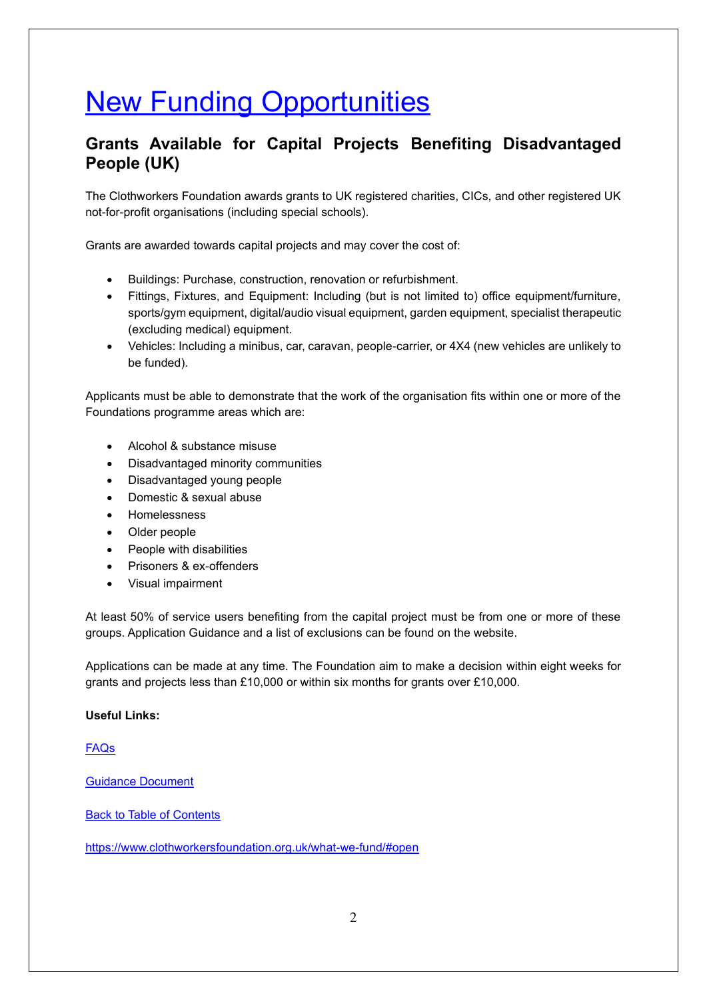# **New Funding Opportunities**

#### <span id="page-1-0"></span>**Grants Available for Capital Projects Benefiting Disadvantaged People (UK)**

The Clothworkers Foundation awards grants to UK registered charities, CICs, and other registered UK not-for-profit organisations (including special schools).

Grants are awarded towards capital projects and may cover the cost of:

- Buildings: Purchase, construction, renovation or refurbishment.
- Fittings, Fixtures, and Equipment: Including (but is not limited to) office equipment/furniture, sports/gym equipment, digital/audio visual equipment, garden equipment, specialist therapeutic (excluding medical) equipment.
- Vehicles: Including a minibus, car, caravan, people-carrier, or 4X4 (new vehicles are unlikely to be funded).

Applicants must be able to demonstrate that the work of the organisation fits within one or more of the Foundations programme areas which are:

- Alcohol & substance misuse
- Disadvantaged minority communities
- Disadvantaged young people
- Domestic & sexual abuse
- Homelessness
- Older people
- People with disabilities
- Prisoners & ex-offenders
- Visual impairment

At least 50% of service users benefiting from the capital project must be from one or more of these groups. Application Guidance and a list of exclusions can be found on the website.

Applications can be made at any time. The Foundation aim to make a decision within eight weeks for grants and projects less than £10,000 or within six months for grants over £10,000.

#### **Useful Links:**

#### [FAQs](https://www.clothworkersfoundation.org.uk/faq/)

[Guidance Document](https://www.clothworkersfoundation.org.uk/media/1261/application-guidance-document-final-draft.pdf)

[Back to Table of Contents](file:///C:/Users/trici/Documents/Funding%20Insight%20Newsletter%206th%20April%202021.docx%23TOC)

<https://www.clothworkersfoundation.org.uk/what-we-fund/#open>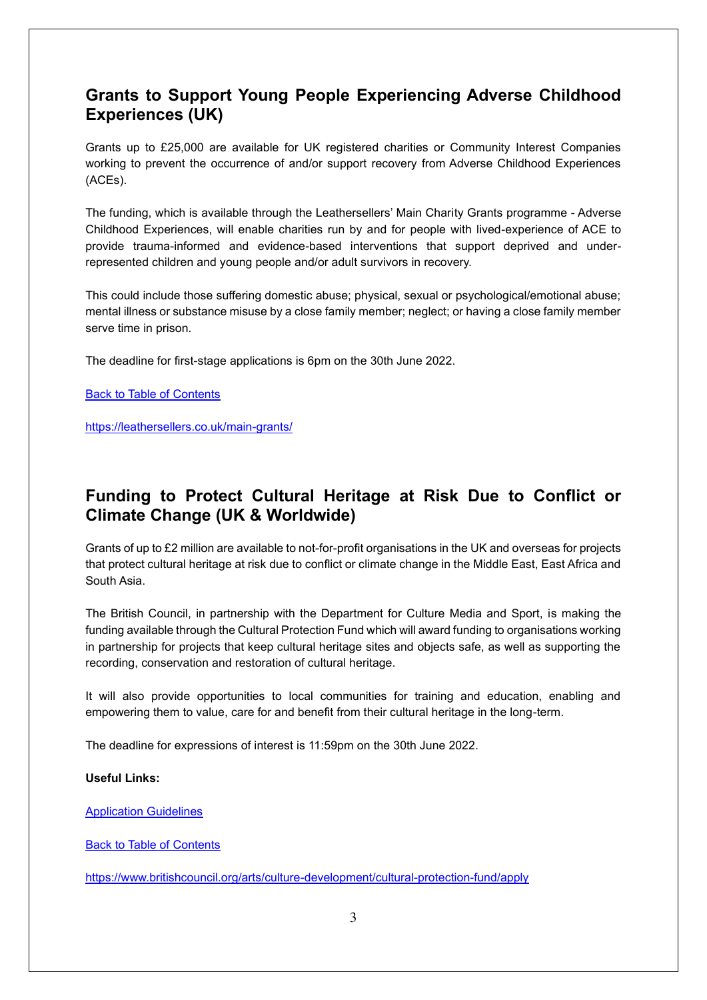#### <span id="page-2-0"></span>**Grants to Support Young People Experiencing Adverse Childhood Experiences (UK)**

Grants up to £25,000 are available for UK registered charities or Community Interest Companies working to prevent the occurrence of and/or support recovery from Adverse Childhood Experiences (ACEs).

The funding, which is available through the Leathersellers' Main Charity Grants programme - Adverse Childhood Experiences, will enable charities run by and for people with lived-experience of ACE to provide trauma-informed and evidence-based interventions that support deprived and underrepresented children and young people and/or adult survivors in recovery.

This could include those suffering domestic abuse; physical, sexual or psychological/emotional abuse; mental illness or substance misuse by a close family member; neglect; or having a close family member serve time in prison.

The deadline for first-stage applications is 6pm on the 30th June 2022.

[Back to Table of Contents](file:///C:/Users/trici/Documents/Funding%20Insight%20Newsletter%206th%20April%202021.docx%23TOC)

<https://leathersellers.co.uk/main-grants/>

#### <span id="page-2-1"></span>**Funding to Protect Cultural Heritage at Risk Due to Conflict or Climate Change (UK & Worldwide)**

Grants of up to £2 million are available to not-for-profit organisations in the UK and overseas for projects that protect cultural heritage at risk due to conflict or climate change in the Middle East, East Africa and South Asia.

The British Council, in partnership with the Department for Culture Media and Sport, is making the funding available through the Cultural Protection Fund which will award funding to organisations working in partnership for projects that keep cultural heritage sites and objects safe, as well as supporting the recording, conservation and restoration of cultural heritage.

It will also provide opportunities to local communities for training and education, enabling and empowering them to value, care for and benefit from their cultural heritage in the long-term.

The deadline for expressions of interest is 11:59pm on the 30th June 2022.

#### **Useful Links:**

[Application Guidelines](https://www.britishcouncil.org/sites/default/files/22_-_25_large_grants_application_guidance_with_cover_1.pdf)

[Back to Table of Contents](file:///C:/Users/trici/Documents/Funding%20Insight%20Newsletter%206th%20April%202021.docx%23TOC)

<https://www.britishcouncil.org/arts/culture-development/cultural-protection-fund/apply>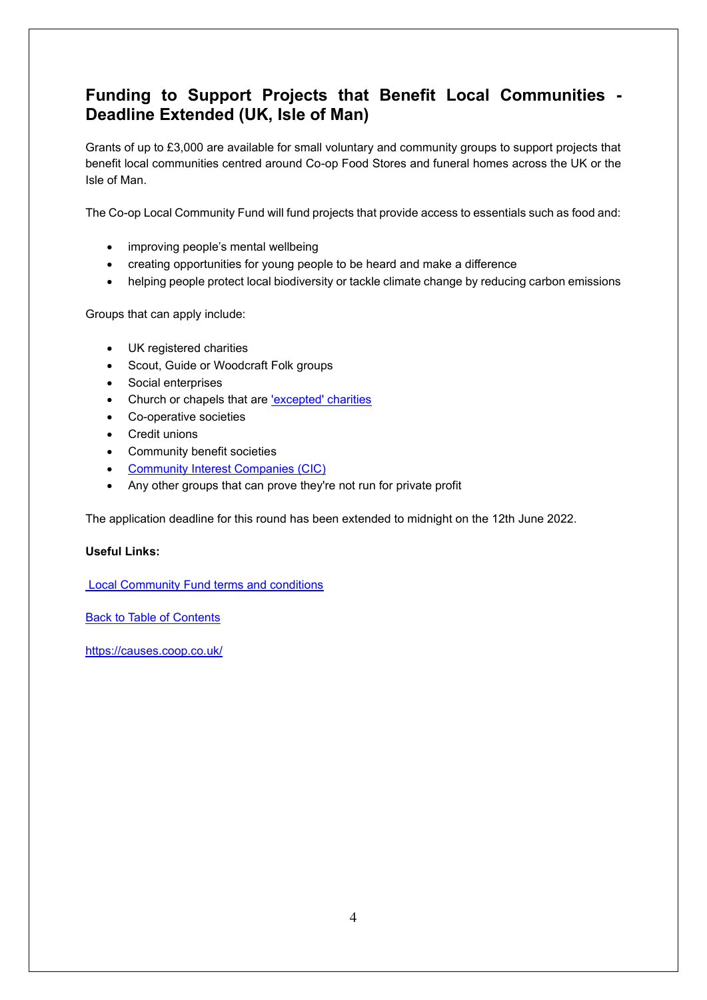#### <span id="page-3-0"></span>**Funding to Support Projects that Benefit Local Communities - Deadline Extended (UK, Isle of Man)**

Grants of up to £3,000 are available for small voluntary and community groups to support projects that benefit local communities centred around Co-op Food Stores and funeral homes across the UK or the Isle of Man.

The Co-op Local Community Fund will fund projects that provide access to essentials such as food and:

- improving people's mental wellbeing
- creating opportunities for young people to be heard and make a difference
- helping people protect local biodiversity or tackle climate change by reducing carbon emissions

Groups that can apply include:

- UK registered charities
- Scout, Guide or Woodcraft Folk groups
- Social enterprises
- Church or chapels that are lexcepted' charities
- Co-operative societies
- Credit unions
- Community benefit societies
- [Community Interest Companies \(CIC\)](https://www.gov.uk/government/organisations/office-of-the-regulator-of-community-interest-companies)
- Any other groups that can prove they're not run for private profit

The application deadline for this round has been extended to midnight on the 12th June 2022.

#### **Useful Links:**

 [Local Community Fund terms and conditions](https://causes.coop.co.uk/terms-and-conditions)

[Back to Table of Contents](file:///C:/Users/trici/Documents/Funding%20Insight%20Newsletter%206th%20April%202021.docx%23TOC)

<https://causes.coop.co.uk/>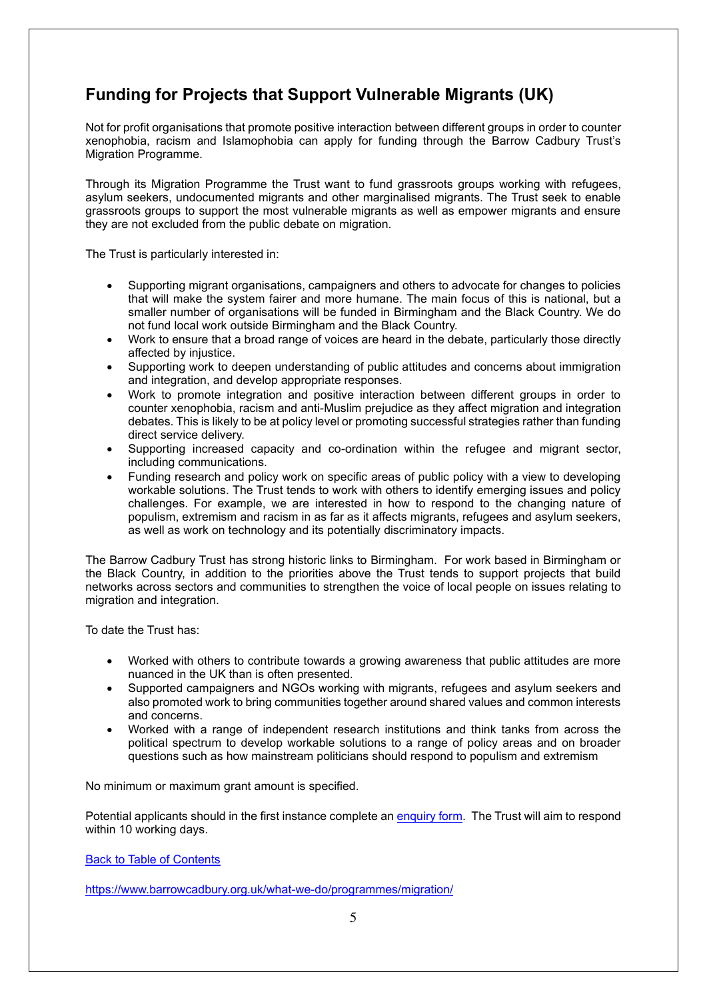## <span id="page-4-0"></span>**Funding for Projects that Support Vulnerable Migrants (UK)**

Not for profit organisations that promote positive interaction between different groups in order to counter xenophobia, racism and Islamophobia can apply for funding through the Barrow Cadbury Trust's Migration Programme.

Through its Migration Programme the Trust want to fund grassroots groups working with refugees, asylum seekers, undocumented migrants and other marginalised migrants. The Trust seek to enable grassroots groups to support the most vulnerable migrants as well as empower migrants and ensure they are not excluded from the public debate on migration.

The Trust is particularly interested in:

- Supporting migrant organisations, campaigners and others to advocate for changes to policies that will make the system fairer and more humane. The main focus of this is national, but a smaller number of organisations will be funded in Birmingham and the Black Country. We do not fund local work outside Birmingham and the Black Country.
- Work to ensure that a broad range of voices are heard in the debate, particularly those directly affected by injustice.
- Supporting work to deepen understanding of public attitudes and concerns about immigration and integration, and develop appropriate responses.
- Work to promote integration and positive interaction between different groups in order to counter xenophobia, racism and anti-Muslim prejudice as they affect migration and integration debates. This is likely to be at policy level or promoting successful strategies rather than funding direct service delivery.
- Supporting increased capacity and co-ordination within the refugee and migrant sector, including communications.
- Funding research and policy work on specific areas of public policy with a view to developing workable solutions. The Trust tends to work with others to identify emerging issues and policy challenges. For example, we are interested in how to respond to the changing nature of populism, extremism and racism in as far as it affects migrants, refugees and asylum seekers, as well as work on technology and its potentially discriminatory impacts.

The Barrow Cadbury Trust has strong historic links to Birmingham. For work based in Birmingham or the Black Country, in addition to the priorities above the Trust tends to support projects that build networks across sectors and communities to strengthen the voice of local people on issues relating to migration and integration.

To date the Trust has:

- Worked with others to contribute towards a growing awareness that public attitudes are more nuanced in the UK than is often presented.
- Supported campaigners and NGOs working with migrants, refugees and asylum seekers and also promoted work to bring communities together around shared values and common interests and concerns.
- Worked with a range of independent research institutions and think tanks from across the political spectrum to develop workable solutions to a range of policy areas and on broader questions such as how mainstream politicians should respond to populism and extremism

No minimum or maximum grant amount is specified.

Potential applicants should in the first instance complete an [enquiry form.](https://www.tfaforms.com/4612607) The Trust will aim to respond within 10 working days.

[Back to Table of Contents](file:///C:/Users/trici/Documents/Funding%20Insight%20Newsletter%206th%20April%202021.docx%23TOC)

<https://www.barrowcadbury.org.uk/what-we-do/programmes/migration/>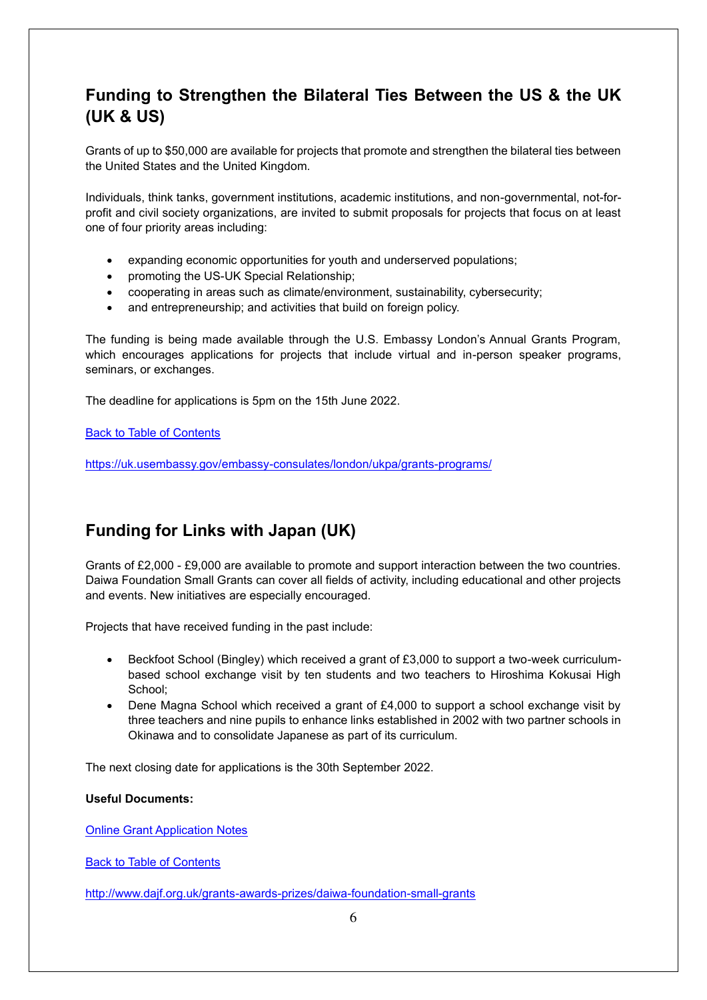## <span id="page-5-0"></span>**Funding to Strengthen the Bilateral Ties Between the US & the UK (UK & US)**

Grants of up to \$50,000 are available for projects that promote and strengthen the bilateral ties between the United States and the United Kingdom.

Individuals, think tanks, government institutions, academic institutions, and non-governmental, not-forprofit and civil society organizations, are invited to submit proposals for projects that focus on at least one of four priority areas including:

- expanding economic opportunities for youth and underserved populations;
- promoting the US-UK Special Relationship;
- cooperating in areas such as climate/environment, sustainability, cybersecurity;
- and entrepreneurship; and activities that build on foreign policy.

The funding is being made available through the U.S. Embassy London's Annual Grants Program, which encourages applications for projects that include virtual and in-person speaker programs, seminars, or exchanges.

The deadline for applications is 5pm on the 15th June 2022.

[Back to Table of Contents](file:///C:/Users/trici/Documents/Funding%20Insight%20Newsletter%206th%20April%202021.docx%23TOC)

<https://uk.usembassy.gov/embassy-consulates/london/ukpa/grants-programs/>

#### <span id="page-5-1"></span>**Funding for Links with Japan (UK)**

Grants of £2,000 - £9,000 are available to promote and support interaction between the two countries. Daiwa Foundation Small Grants can cover all fields of activity, including educational and other projects and events. New initiatives are especially encouraged.

Projects that have received funding in the past include:

- Beckfoot School (Bingley) which received a grant of £3,000 to support a two-week curriculumbased school exchange visit by ten students and two teachers to Hiroshima Kokusai High School;
- Dene Magna School which received a grant of £4,000 to support a school exchange visit by three teachers and nine pupils to enhance links established in 2002 with two partner schools in Okinawa and to consolidate Japanese as part of its curriculum.

The next closing date for applications is the 30th September 2022.

#### **Useful Documents:**

[Online Grant Application Notes](http://www.dajf.org.uk/wp-content/uploads/Online-Grant-Application-Notes.pdf)

[Back to Table of Contents](file:///C:/Users/trici/Documents/Funding%20Insight%20Newsletter%206th%20April%202021.docx%23TOC)

<http://www.dajf.org.uk/grants-awards-prizes/daiwa-foundation-small-grants>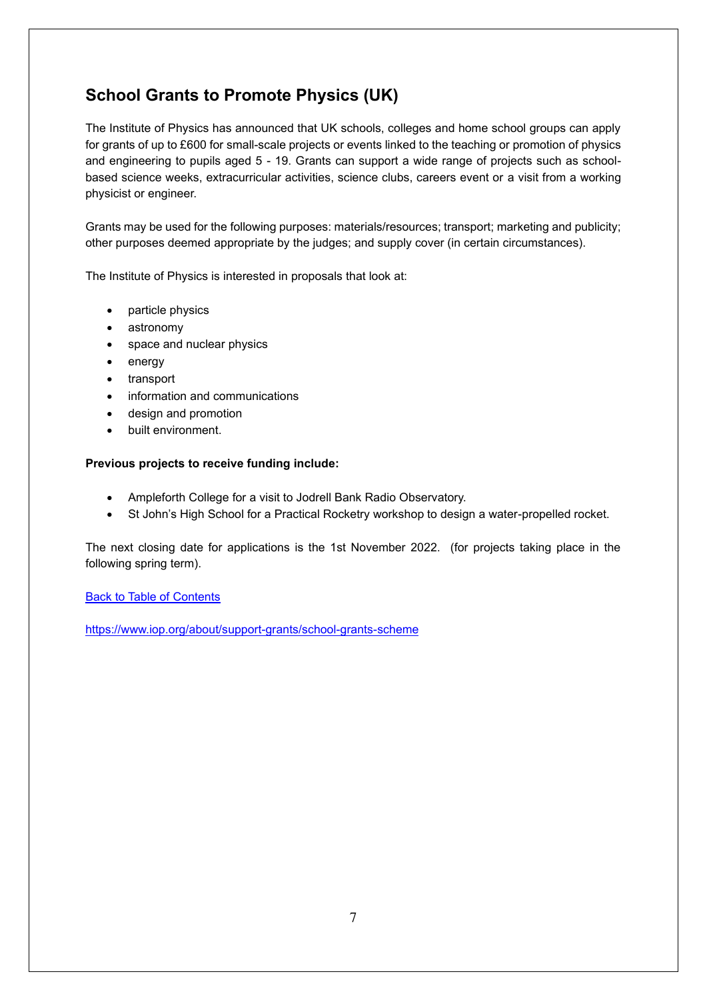## <span id="page-6-0"></span>**School Grants to Promote Physics (UK)**

The Institute of Physics has announced that UK schools, colleges and home school groups can apply for grants of up to £600 for small-scale projects or events linked to the teaching or promotion of physics and engineering to pupils aged 5 - 19. Grants can support a wide range of projects such as schoolbased science weeks, extracurricular activities, science clubs, careers event or a visit from a working physicist or engineer.

Grants may be used for the following purposes: materials/resources; transport; marketing and publicity; other purposes deemed appropriate by the judges; and supply cover (in certain circumstances).

The Institute of Physics is interested in proposals that look at:

- particle physics
- astronomy
- space and nuclear physics
- energy
- transport
- information and communications
- design and promotion
- built environment.

#### **Previous projects to receive funding include:**

- Ampleforth College for a visit to Jodrell Bank Radio Observatory.
- St John's High School for a Practical Rocketry workshop to design a water-propelled rocket.

The next closing date for applications is the 1st November 2022. (for projects taking place in the following spring term).

[Back to Table of Contents](file:///C:/Users/trici/Documents/Funding%20Insight%20Newsletter%206th%20April%202021.docx%23TOC)

<https://www.iop.org/about/support-grants/school-grants-scheme>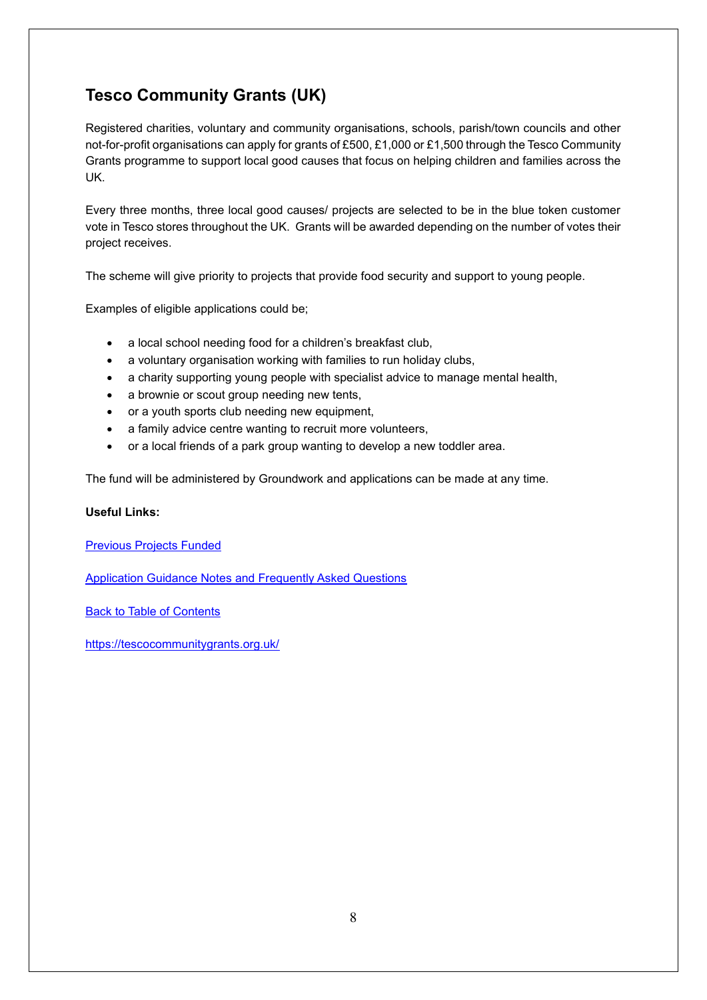## <span id="page-7-0"></span>**Tesco Community Grants (UK)**

Registered charities, voluntary and community organisations, schools, parish/town councils and other not-for-profit organisations can apply for grants of £500, £1,000 or £1,500 through the Tesco Community Grants programme to support local good causes that focus on helping children and families across the UK.

Every three months, three local good causes/ projects are selected to be in the blue token customer vote in Tesco stores throughout the UK. Grants will be awarded depending on the number of votes their project receives.

The scheme will give priority to projects that provide food security and support to young people.

Examples of eligible applications could be;

- a local school needing food for a children's breakfast club,
- a voluntary organisation working with families to run holiday clubs,
- a charity supporting young people with specialist advice to manage mental health,
- a brownie or scout group needing new tents,
- or a youth sports club needing new equipment,
- a family advice centre wanting to recruit more volunteers,
- or a local friends of a park group wanting to develop a new toddler area.

The fund will be administered by Groundwork and applications can be made at any time.

#### **Useful Links:**

[Previous Projects Funded](https://tescocommunitygrants.org.uk/what-weve-funded/)

[Application Guidance Notes and Frequently Asked Questions](https://docs.google.com/document/d/1_gCLGVkpswQ9x6INcmRyHdh05cgdzLnZDPmBZj7O9iw/edit?usp=sharing)

[Back to Table of Contents](file:///C:/Users/trici/Documents/Funding%20Insight%20Newsletter%206th%20April%202021.docx%23TOC)

<https://tescocommunitygrants.org.uk/>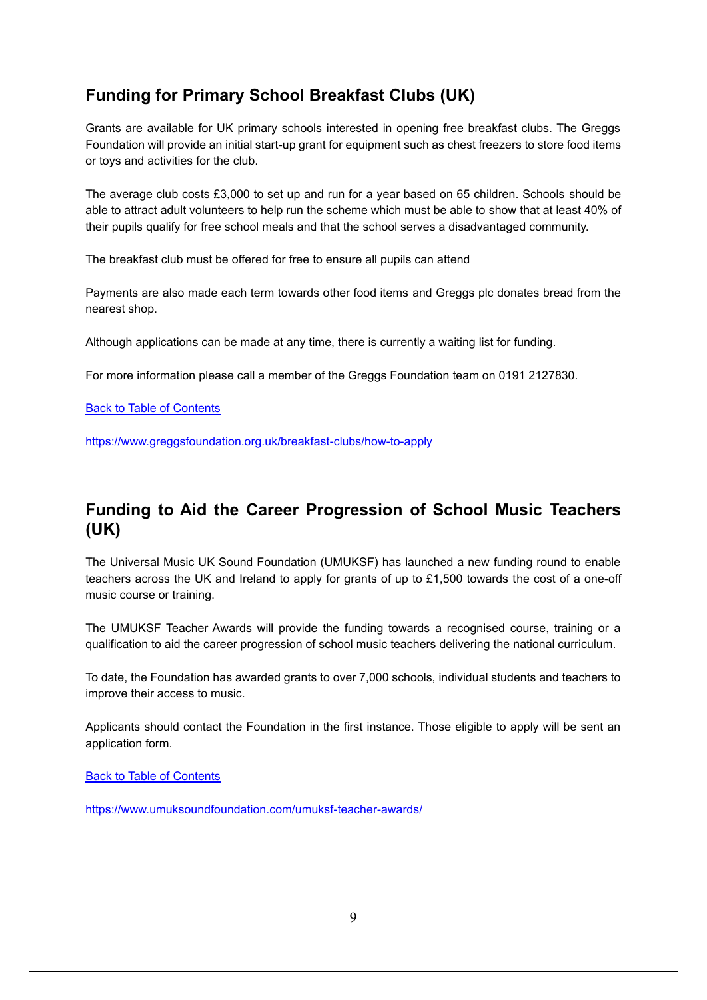### <span id="page-8-0"></span>**Funding for Primary School Breakfast Clubs (UK)**

Grants are available for UK primary schools interested in opening free breakfast clubs. The Greggs Foundation will provide an initial start-up grant for equipment such as chest freezers to store food items or toys and activities for the club.

The average club costs £3,000 to set up and run for a year based on 65 children. Schools should be able to attract adult volunteers to help run the scheme which must be able to show that at least 40% of their pupils qualify for free school meals and that the school serves a disadvantaged community.

The breakfast club must be offered for free to ensure all pupils can attend

Payments are also made each term towards other food items and Greggs plc donates bread from the nearest shop.

Although applications can be made at any time, there is currently a waiting list for funding.

For more information please call a member of the Greggs Foundation team on 0191 2127830.

**[Back to Table of Contents](file:///C:/Users/trici/Documents/Funding%20Insight%20Newsletter%206th%20April%202021.docx%23TOC)** 

<https://www.greggsfoundation.org.uk/breakfast-clubs/how-to-apply>

#### <span id="page-8-1"></span>**Funding to Aid the Career Progression of School Music Teachers (UK)**

The Universal Music UK Sound Foundation (UMUKSF) has launched a new funding round to enable teachers across the UK and Ireland to apply for grants of up to £1,500 towards the cost of a one-off music course or training.

The UMUKSF Teacher Awards will provide the funding towards a recognised course, training or a qualification to aid the career progression of school music teachers delivering the national curriculum.

To date, the Foundation has awarded grants to over 7,000 schools, individual students and teachers to improve their access to music.

Applicants should contact the Foundation in the first instance. Those eligible to apply will be sent an application form.

[Back to Table of Contents](file:///C:/Users/trici/Documents/Funding%20Insight%20Newsletter%206th%20April%202021.docx%23TOC)

<https://www.umuksoundfoundation.com/umuksf-teacher-awards/>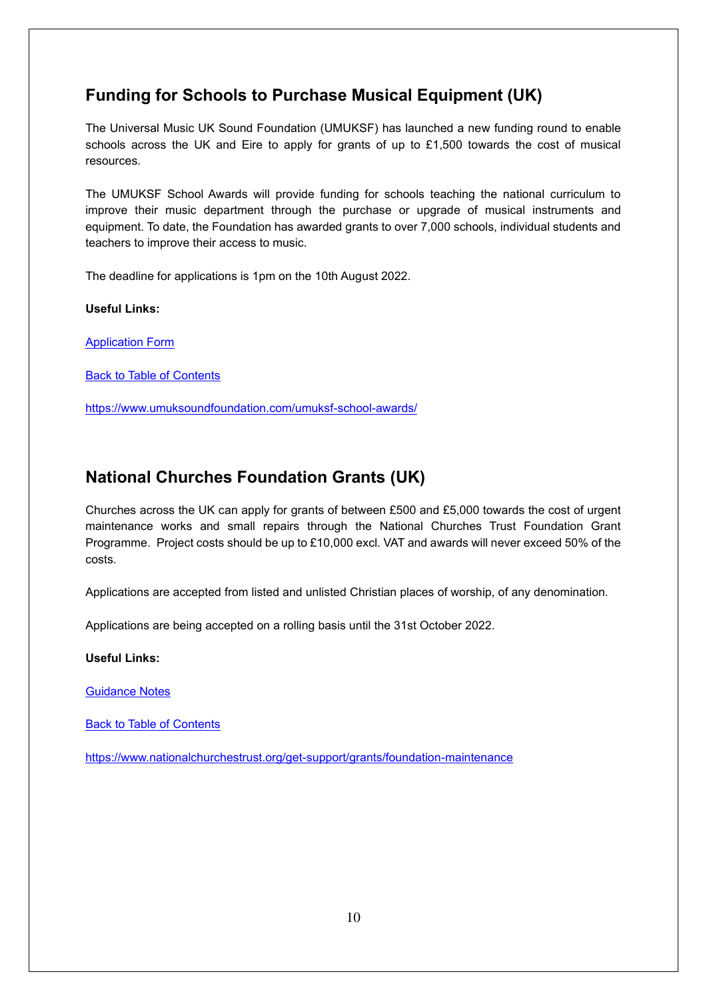## <span id="page-9-0"></span>**Funding for Schools to Purchase Musical Equipment (UK)**

The Universal Music UK Sound Foundation (UMUKSF) has launched a new funding round to enable schools across the UK and Eire to apply for grants of up to £1,500 towards the cost of musical resources.

The UMUKSF School Awards will provide funding for schools teaching the national curriculum to improve their music department through the purchase or upgrade of musical instruments and equipment. To date, the Foundation has awarded grants to over 7,000 schools, individual students and teachers to improve their access to music.

The deadline for applications is 1pm on the 10th August 2022.

**Useful Links:**

[Application Form](https://www.umuksoundfoundation.com/wp-content/uploads/2022/03/UMUKSF-School-application-form.pdf)

[Back to Table of Contents](file:///C:/Users/trici/Documents/Funding%20Insight%20Newsletter%206th%20April%202021.docx%23TOC)

<https://www.umuksoundfoundation.com/umuksf-school-awards/>

## <span id="page-9-1"></span>**National Churches Foundation Grants (UK)**

Churches across the UK can apply for grants of between £500 and £5,000 towards the cost of urgent maintenance works and small repairs through the National Churches Trust Foundation Grant Programme. Project costs should be up to £10,000 excl. VAT and awards will never exceed 50% of the costs.

Applications are accepted from listed and unlisted Christian places of worship, of any denomination.

Applications are being accepted on a rolling basis until the 31st October 2022.

**Useful Links:**

[Guidance Notes](https://www.nationalchurchestrust.org/sites/default/files/Foundation%20Grant%20Programme%20Guidance%202019-23%20rev%2003.05.19_0.pdf)

[Back to Table of Contents](file:///C:/Users/trici/Documents/Funding%20Insight%20Newsletter%206th%20April%202021.docx%23TOC)

<https://www.nationalchurchestrust.org/get-support/grants/foundation-maintenance>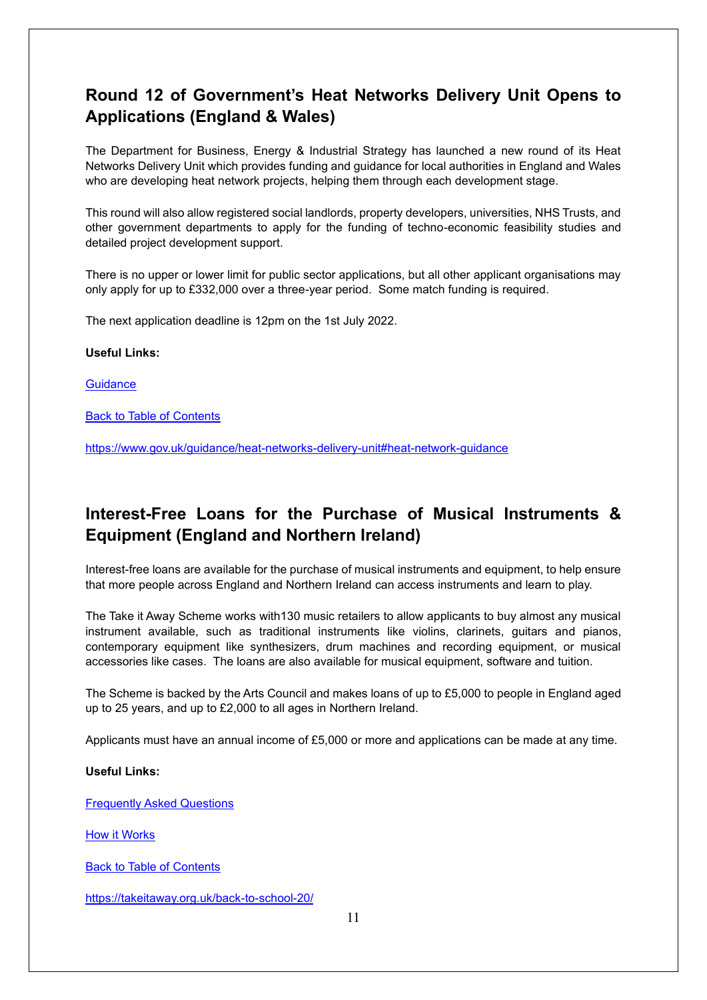## <span id="page-10-0"></span>**Round 12 of Government's Heat Networks Delivery Unit Opens to Applications (England & Wales)**

The Department for Business, Energy & Industrial Strategy has launched a new round of its Heat Networks Delivery Unit which provides funding and guidance for local authorities in England and Wales who are developing heat network projects, helping them through each development stage.

This round will also allow registered social landlords, property developers, universities, NHS Trusts, and other government departments to apply for the funding of techno-economic feasibility studies and detailed project development support.

There is no upper or lower limit for public sector applications, but all other applicant organisations may only apply for up to £332,000 over a three-year period. Some match funding is required.

The next application deadline is 12pm on the 1st July 2022.

#### **Useful Links:**

**[Guidance](https://assets.publishing.service.gov.uk/government/uploads/system/uploads/attachment_data/file/1076502/hndu-r12-guidance.pdf)** 

[Back to Table of Contents](file:///C:/Users/trici/Documents/Funding%20Insight%20Newsletter%206th%20April%202021.docx%23TOC)

<https://www.gov.uk/guidance/heat-networks-delivery-unit#heat-network-guidance>

#### <span id="page-10-1"></span>**Interest-Free Loans for the Purchase of Musical Instruments & Equipment (England and Northern Ireland)**

Interest-free loans are available for the purchase of musical instruments and equipment, to help ensure that more people across England and Northern Ireland can access instruments and learn to play.

The Take it Away Scheme works with130 music retailers to allow applicants to buy almost any musical instrument available, such as traditional instruments like violins, clarinets, guitars and pianos, contemporary equipment like synthesizers, drum machines and recording equipment, or musical accessories like cases. The loans are also available for musical equipment, software and tuition.

The Scheme is backed by the Arts Council and makes loans of up to £5,000 to people in England aged up to 25 years, and up to £2,000 to all ages in Northern Ireland.

Applicants must have an annual income of £5,000 or more and applications can be made at any time.

#### **Useful Links:**

[Frequently Asked Questions](https://takeitaway.org.uk/faqs/)

[How it Works](https://takeitaway.org.uk/how-take-it-away-works/)

[Back to Table of Contents](file:///C:/Users/trici/Documents/Funding%20Insight%20Newsletter%206th%20April%202021.docx%23TOC)

https://takeitaway.org.uk/back-to-school-20/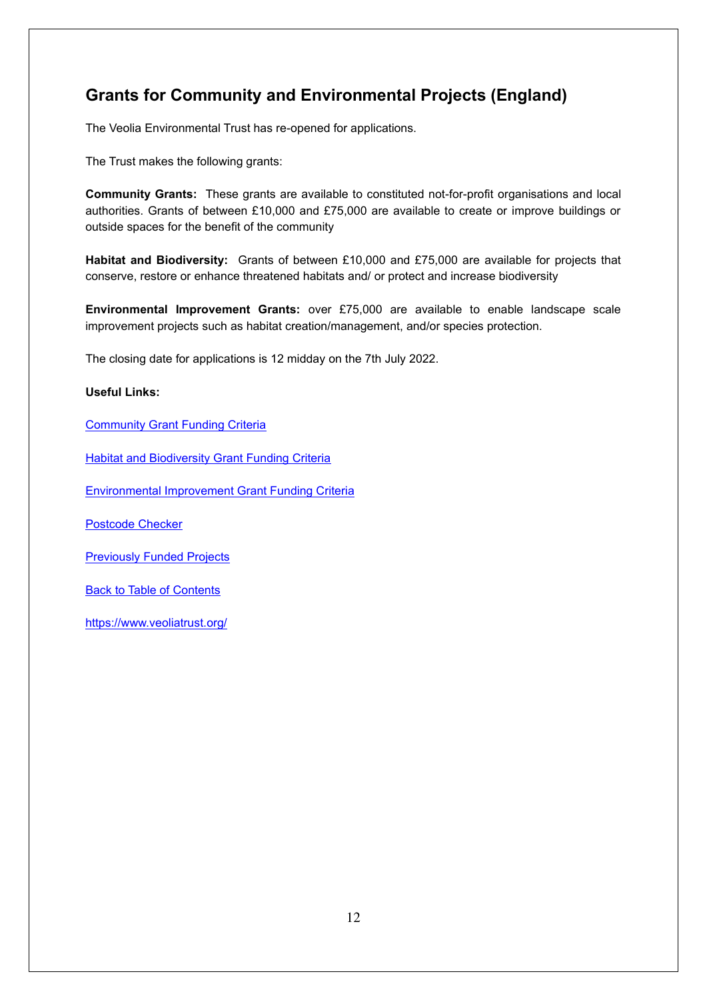## <span id="page-11-0"></span>**Grants for Community and Environmental Projects (England)**

The Veolia Environmental Trust has re-opened for applications.

The Trust makes the following grants:

**Community Grants:** These grants are available to constituted not-for-profit organisations and local authorities. Grants of between £10,000 and £75,000 are available to create or improve buildings or outside spaces for the benefit of the community

**Habitat and Biodiversity:** Grants of between £10,000 and £75,000 are available for projects that conserve, restore or enhance threatened habitats and/ or protect and increase biodiversity

**Environmental Improvement Grants:** over £75,000 are available to enable landscape scale improvement projects such as habitat creation/management, and/or species protection.

The closing date for applications is 12 midday on the 7th July 2022.

#### **Useful Links:**

[Community Grant Funding Criteria](https://www.veoliatrust.org/media/documents/Community%20Grant%20Funding%20Criteria.pdf)

[Habitat and Biodiversity Grant Funding Criteria](https://www.veoliatrust.org/media/documents/Habitat%20and%20Biodiversity%20Funding%20Criteria.docx.pdf)

[Environmental Improvement Grant Funding Criteria](https://www.veoliatrust.org/media/documents/Environmental%20Improvement%20Grant%20Criteria.pdf)

[Postcode Checker](https://www.veoliatrust.org/funding/index.php?page=Postcode_Checker_1)

[Previously Funded Projects](https://www.veoliatrust.org/projects/)

**[Back to Table of Contents](file:///C:/Users/trici/Documents/Funding%20Insight%20Newsletter%206th%20April%202021.docx%23TOC)** 

<https://www.veoliatrust.org/>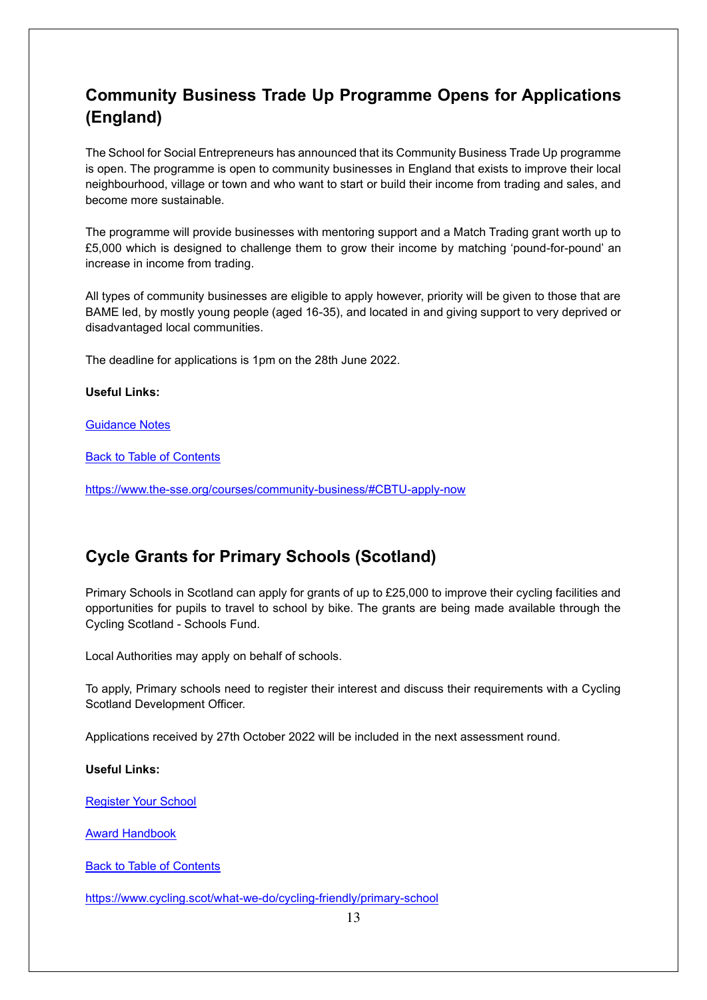## <span id="page-12-0"></span>**Community Business Trade Up Programme Opens for Applications (England)**

The School for Social Entrepreneurs has announced that its Community Business Trade Up programme is open. The programme is open to community businesses in England that exists to improve their local neighbourhood, village or town and who want to start or build their income from trading and sales, and become more sustainable.

The programme will provide businesses with mentoring support and a Match Trading grant worth up to £5,000 which is designed to challenge them to grow their income by matching 'pound-for-pound' an increase in income from trading.

All types of community businesses are eligible to apply however, priority will be given to those that are BAME led, by mostly young people (aged 16-35), and located in and giving support to very deprived or disadvantaged local communities.

The deadline for applications is 1pm on the 28th June 2022.

#### **Useful Links:**

[Guidance Notes](https://bit.ly/3wx4yDu)

[Back to Table of Contents](file:///C:/Users/trici/Documents/Funding%20Insight%20Newsletter%206th%20April%202021.docx%23TOC)

<https://www.the-sse.org/courses/community-business/#CBTU-apply-now>

#### <span id="page-12-1"></span>**Cycle Grants for Primary Schools (Scotland)**

Primary Schools in Scotland can apply for grants of up to £25,000 to improve their cycling facilities and opportunities for pupils to travel to school by bike. The grants are being made available through the Cycling Scotland - Schools Fund.

Local Authorities may apply on behalf of schools.

To apply, Primary schools need to register their interest and discuss their requirements with a Cycling Scotland Development Officer.

Applications received by 27th October 2022 will be included in the next assessment round.

#### **Useful Links:**

[Register Your School](https://www.cyclingfriendly.scot/)

[Award Handbook](https://www.cycling.scot/mediaLibrary/other/english/6328.pdf)

[Back to Table of Contents](file:///C:/Users/trici/Documents/Funding%20Insight%20Newsletter%206th%20April%202021.docx%23TOC)

<https://www.cycling.scot/what-we-do/cycling-friendly/primary-school>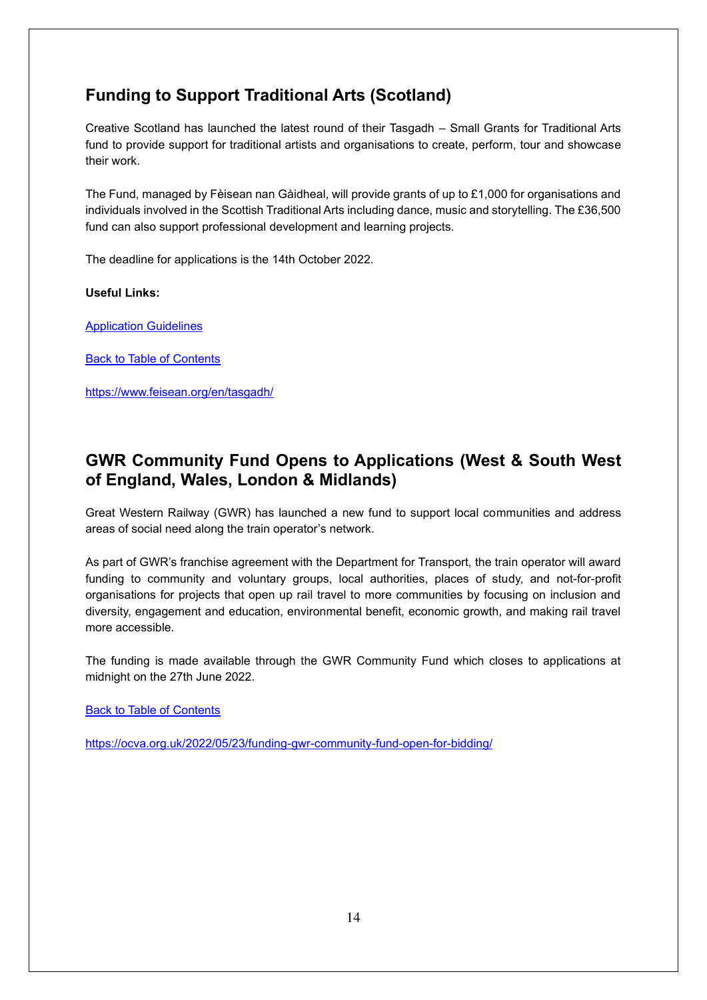## <span id="page-13-0"></span>**Funding to Support Traditional Arts (Scotland)**

Creative Scotland has launched the latest round of their Tasgadh – Small Grants for Traditional Arts fund to provide support for traditional artists and organisations to create, perform, tour and showcase their work.

The Fund, managed by Fèisean nan Gàidheal, will provide grants of up to £1,000 for organisations and individuals involved in the Scottish Traditional Arts including dance, music and storytelling. The £36,500 fund can also support professional development and learning projects.

The deadline for applications is the 14th October 2022.

#### **Useful Links:**

[Application Guidelines](https://www.feisean.org/wp-content/uploads/Tasgadh-Guidance-22-23.pdf)

[Back to Table of Contents](file:///C:/Users/trici/Documents/Funding%20Insight%20Newsletter%206th%20April%202021.docx%23TOC)

<https://www.feisean.org/en/tasgadh/>

### <span id="page-13-1"></span>**GWR Community Fund Opens to Applications (West & South West of England, Wales, London & Midlands)**

Great Western Railway (GWR) has launched a new fund to support local communities and address areas of social need along the train operator's network.

As part of GWR's franchise agreement with the Department for Transport, the train operator will award funding to community and voluntary groups, local authorities, places of study, and not-for-profit organisations for projects that open up rail travel to more communities by focusing on inclusion and diversity, engagement and education, environmental benefit, economic growth, and making rail travel more accessible.

The funding is made available through the GWR Community Fund which closes to applications at midnight on the 27th June 2022.

[Back to Table of Contents](file:///C:/Users/trici/Documents/Funding%20Insight%20Newsletter%206th%20April%202021.docx%23TOC)

<https://ocva.org.uk/2022/05/23/funding-gwr-community-fund-open-for-bidding/>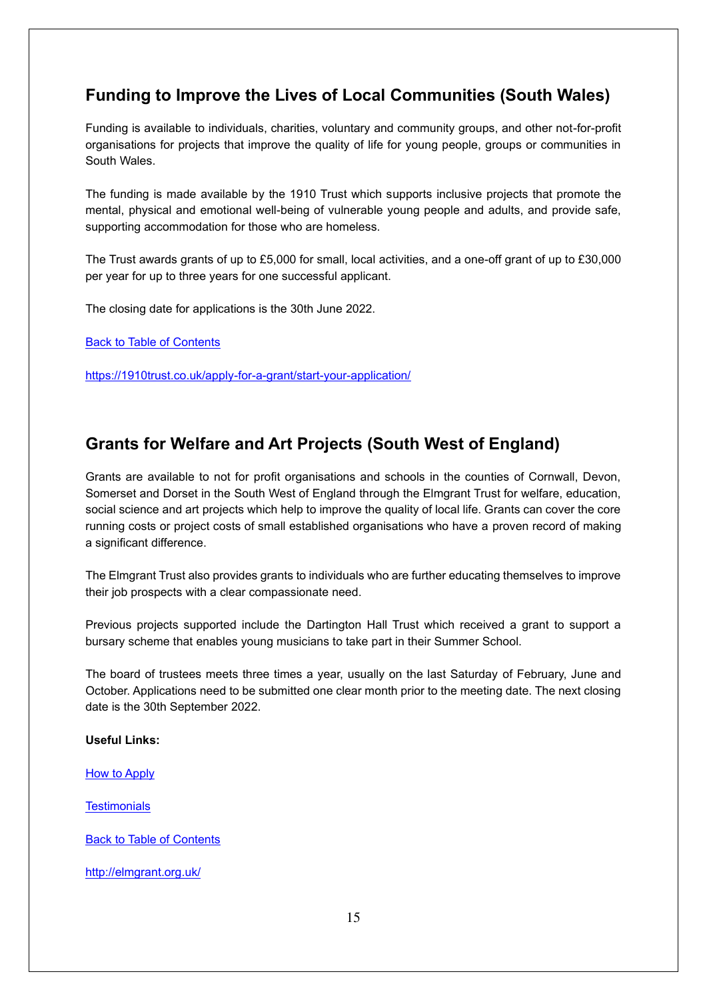## <span id="page-14-0"></span>**Funding to Improve the Lives of Local Communities (South Wales)**

Funding is available to individuals, charities, voluntary and community groups, and other not-for-profit organisations for projects that improve the quality of life for young people, groups or communities in South Wales.

The funding is made available by the 1910 Trust which supports inclusive projects that promote the mental, physical and emotional well-being of vulnerable young people and adults, and provide safe, supporting accommodation for those who are homeless.

The Trust awards grants of up to £5,000 for small, local activities, and a one-off grant of up to £30,000 per year for up to three years for one successful applicant.

The closing date for applications is the 30th June 2022.

[Back to Table of Contents](file:///C:/Users/trici/Documents/Funding%20Insight%20Newsletter%206th%20April%202021.docx%23TOC)

<https://1910trust.co.uk/apply-for-a-grant/start-your-application/>

#### <span id="page-14-1"></span>**Grants for Welfare and Art Projects (South West of England)**

Grants are available to not for profit organisations and schools in the counties of Cornwall, Devon, Somerset and Dorset in the South West of England through the Elmgrant Trust for welfare, education, social science and art projects which help to improve the quality of local life. Grants can cover the core running costs or project costs of small established organisations who have a proven record of making a significant difference.

The Elmgrant Trust also provides grants to individuals who are further educating themselves to improve their job prospects with a clear compassionate need.

Previous projects supported include the Dartington Hall Trust which received a grant to support a bursary scheme that enables young musicians to take part in their Summer School.

The board of trustees meets three times a year, usually on the last Saturday of February, June and October. Applications need to be submitted one clear month prior to the meeting date. The next closing date is the 30th September 2022.

#### **Useful Links:**

[How to Apply](http://elmgrant.org.uk/sample-page/)

**[Testimonials](http://elmgrant.org.uk/testimonials/)** 

[Back to Table of Contents](file:///C:/Users/trici/Documents/Funding%20Insight%20Newsletter%206th%20April%202021.docx%23TOC)

<http://elmgrant.org.uk/>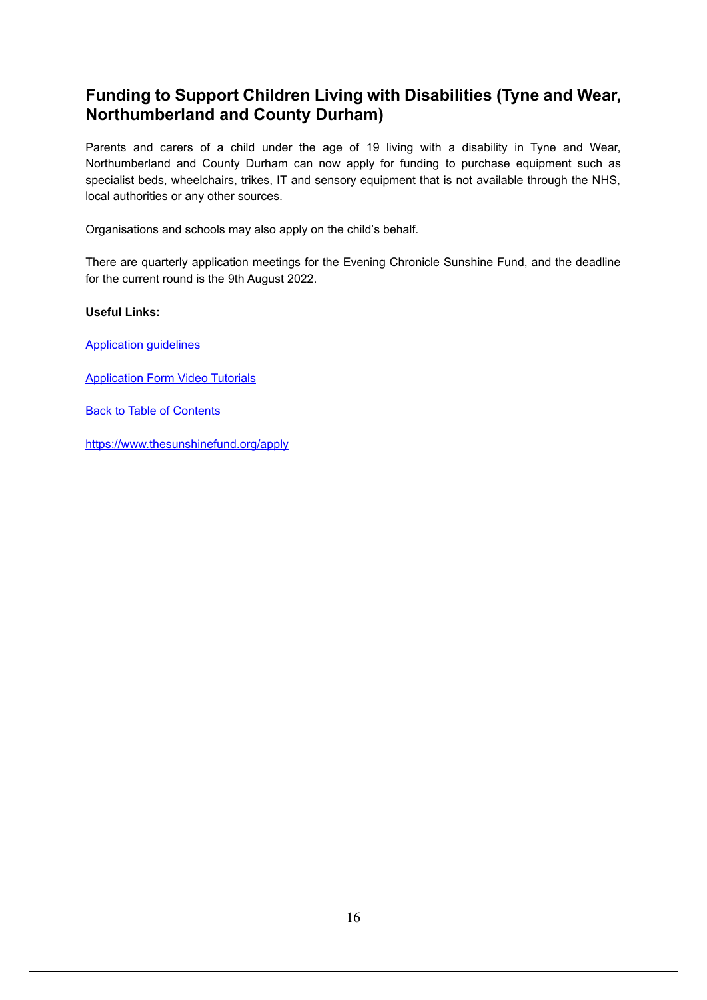### <span id="page-15-0"></span>**Funding to Support Children Living with Disabilities (Tyne and Wear, Northumberland and County Durham)**

Parents and carers of a child under the age of 19 living with a disability in Tyne and Wear, Northumberland and County Durham can now apply for funding to purchase equipment such as specialist beds, wheelchairs, trikes, IT and sensory equipment that is not available through the NHS, local authorities or any other sources.

Organisations and schools may also apply on the child's behalf.

There are quarterly application meetings for the Evening Chronicle Sunshine Fund, and the deadline for the current round is the 9th August 2022.

#### **Useful Links:**

- [Application guidelines](https://8af846e2-3aea-4a1f-9eca-4a0b598d2413.filesusr.com/ugd/453e9b_35d04cbc71974bc8af4e237fe5fdd162.pdf)
- [Application Form Video Tutorials](https://www.thesunshinefund.org/applicationformvideotutorials)

[Back to Table of Contents](file:///C:/Users/trici/Documents/Funding%20Insight%20Newsletter%206th%20April%202021.docx%23TOC)

<https://www.thesunshinefund.org/apply>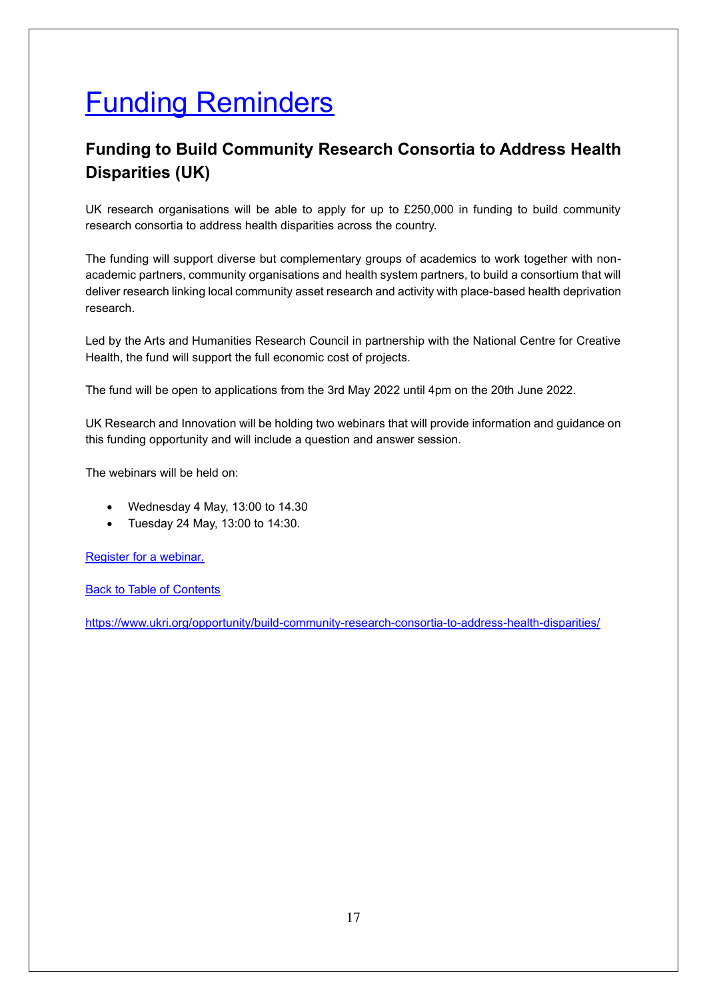# <span id="page-16-0"></span>Funding Reminders

## <span id="page-16-1"></span>**Funding to Build Community Research Consortia to Address Health Disparities (UK)**

UK research organisations will be able to apply for up to £250,000 in funding to build community research consortia to address health disparities across the country.

The funding will support diverse but complementary groups of academics to work together with nonacademic partners, community organisations and health system partners, to build a consortium that will deliver research linking local community asset research and activity with place-based health deprivation research.

Led by the Arts and Humanities Research Council in partnership with the National Centre for Creative Health, the fund will support the full economic cost of projects.

The fund will be open to applications from the 3rd May 2022 until 4pm on the 20th June 2022.

UK Research and Innovation will be holding two webinars that will provide information and guidance on this funding opportunity and will include a question and answer session.

The webinars will be held on:

- Wednesday 4 May, 13:00 to 14.30
- Tuesday 24 May, 13:00 to 14:30.

[Register for a webinar.](https://www.surveymonkey.co.uk/r/HealthDisparitiescall)

[Back to Table of Contents](file:///C:/Users/trici/Documents/Funding%20Insight%20Newsletter%206th%20April%202021.docx%23TOC)

<https://www.ukri.org/opportunity/build-community-research-consortia-to-address-health-disparities/>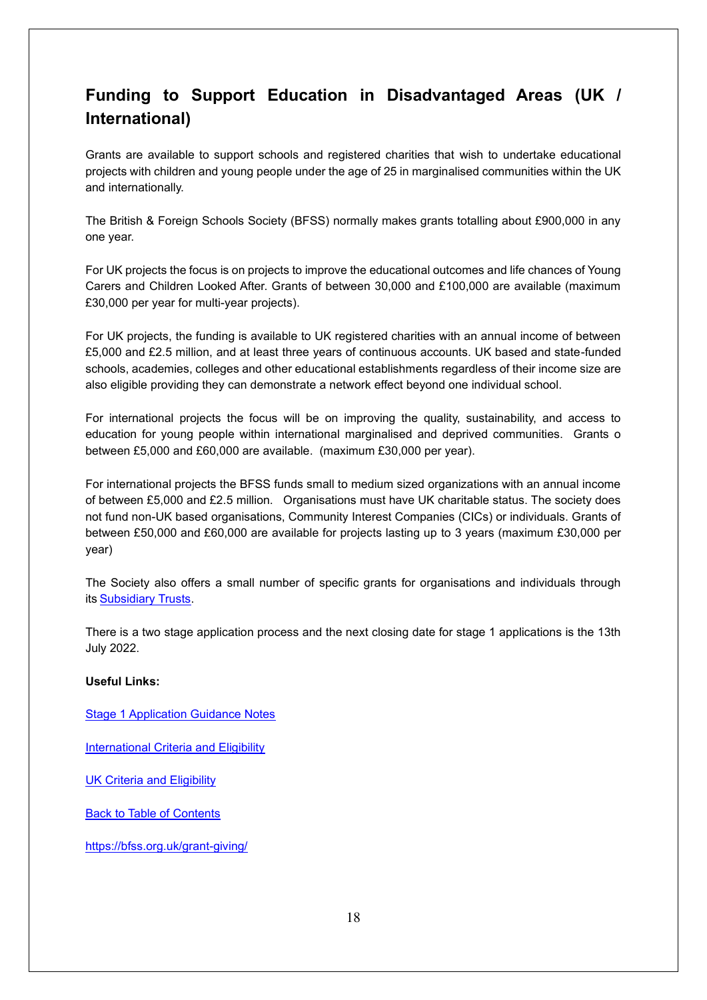## <span id="page-17-0"></span>**Funding to Support Education in Disadvantaged Areas (UK / International)**

Grants are available to support schools and registered charities that wish to undertake educational projects with children and young people under the age of 25 in marginalised communities within the UK and internationally.

The British & Foreign Schools Society (BFSS) normally makes grants totalling about £900,000 in any one year.

For UK projects the focus is on projects to improve the educational outcomes and life chances of Young Carers and Children Looked After. Grants of between 30,000 and £100,000 are available (maximum £30,000 per year for multi-year projects).

For UK projects, the funding is available to UK registered charities with an annual income of between £5,000 and £2.5 million, and at least three years of continuous accounts. UK based and state-funded schools, academies, colleges and other educational establishments regardless of their income size are also eligible providing they can demonstrate a network effect beyond one individual school.

For international projects the focus will be on improving the quality, sustainability, and access to education for young people within international marginalised and deprived communities. Grants o between £5,000 and £60,000 are available. (maximum £30,000 per year).

For international projects the BFSS funds small to medium sized organizations with an annual income of between £5,000 and £2.5 million. Organisations must have UK charitable status. The society does not fund non-UK based organisations, Community Interest Companies (CICs) or individuals. Grants of between £50,000 and £60,000 are available for projects lasting up to 3 years (maximum £30,000 per year)

The Society also offers a small number of specific grants for organisations and individuals through its[Subsidiary Trusts.](http://www.bfss.org.uk/grants/subsidiary-trusts) 

There is a two stage application process and the next closing date for stage 1 applications is the 13th July 2022.

#### **Useful Links:**

[Stage 1 Application Guidance Notes](https://bfss.org.uk/wp-content/uploads/Stage-1-Application-Guidance-Notes.pdf)

[International Criteria and Eligibility](https://bfss.org.uk/grant-giving/int-criteria/)

[UK Criteria and Eligibility](https://bfss.org.uk/grant-giving/uk-criteria/)

[Back to Table of Contents](file:///C:/Users/trici/Documents/Funding%20Insight%20Newsletter%206th%20April%202021.docx%23TOC)

<https://bfss.org.uk/grant-giving/>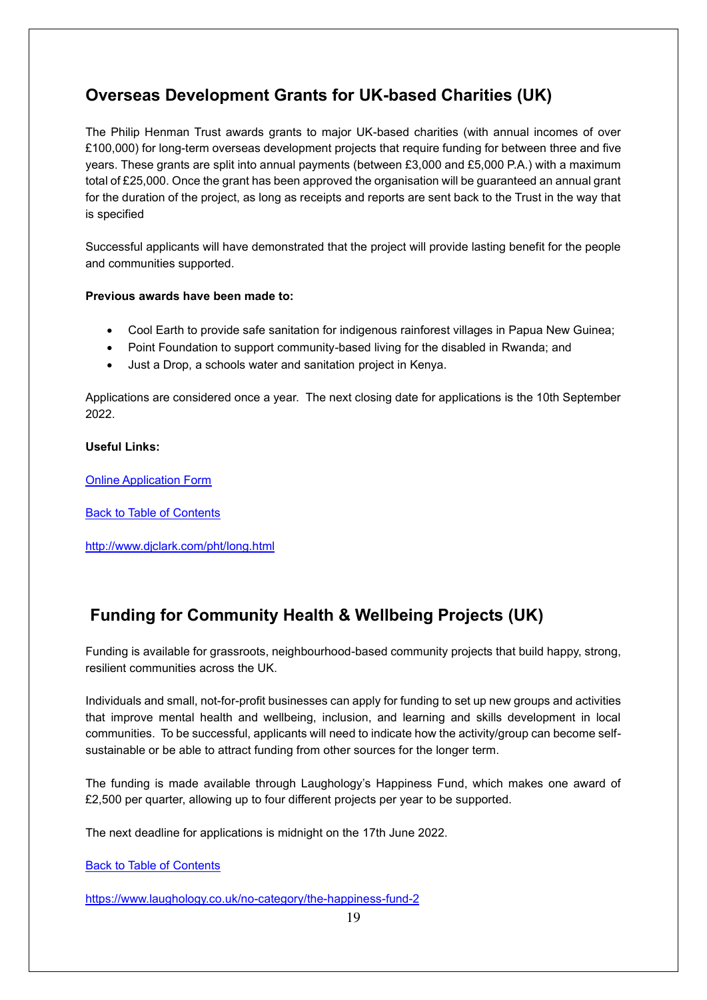## <span id="page-18-0"></span>**Overseas Development Grants for UK-based Charities (UK)**

The Philip Henman Trust awards grants to major UK-based charities (with annual incomes of over £100,000) for long-term overseas development projects that require funding for between three and five years. These grants are split into annual payments (between £3,000 and £5,000 P.A.) with a maximum total of £25,000. Once the grant has been approved the organisation will be guaranteed an annual grant for the duration of the project, as long as receipts and reports are sent back to the Trust in the way that is specified

Successful applicants will have demonstrated that the project will provide lasting benefit for the people and communities supported.

#### **Previous awards have been made to:**

- Cool Earth to provide safe sanitation for indigenous rainforest villages in Papua New Guinea;
- Point Foundation to support community-based living for the disabled in Rwanda; and
- Just a Drop, a schools water and sanitation project in Kenya.

Applications are considered once a year. The next closing date for applications is the 10th September 2022.

#### **Useful Links:**

[Online Application Form](http://www.djclark.com/pht/longapp.htm)

[Back to Table of Contents](file:///C:/Users/trici/Documents/Funding%20Insight%20Newsletter%206th%20April%202021.docx%23TOC)

<http://www.djclark.com/pht/long.html>

## <span id="page-18-1"></span> **Funding for Community Health & Wellbeing Projects (UK)**

Funding is available for grassroots, neighbourhood-based community projects that build happy, strong, resilient communities across the UK.

Individuals and small, not-for-profit businesses can apply for funding to set up new groups and activities that improve mental health and wellbeing, inclusion, and learning and skills development in local communities. To be successful, applicants will need to indicate how the activity/group can become selfsustainable or be able to attract funding from other sources for the longer term.

The funding is made available through Laughology's Happiness Fund, which makes one award of £2,500 per quarter, allowing up to four different projects per year to be supported.

The next deadline for applications is midnight on the 17th June 2022.

[Back to Table of Contents](file:///C:/Users/trici/Documents/Funding%20Insight%20Newsletter%206th%20April%202021.docx%23TOC)

https://www.laughology.co.uk/no-category/the-happiness-fund-2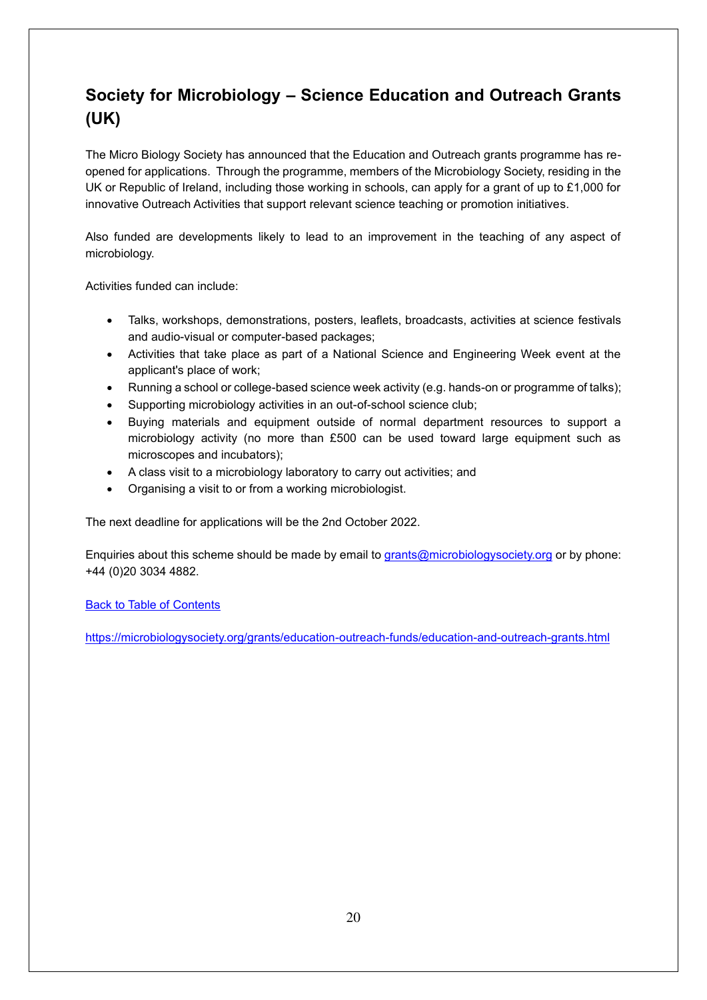## <span id="page-19-0"></span>**Society for Microbiology – Science Education and Outreach Grants (UK)**

The Micro Biology Society has announced that the Education and Outreach grants programme has reopened for applications. Through the programme, members of the Microbiology Society, residing in the UK or Republic of Ireland, including those working in schools, can apply for a grant of up to £1,000 for innovative Outreach Activities that support relevant science teaching or promotion initiatives.

Also funded are developments likely to lead to an improvement in the teaching of any aspect of microbiology.

Activities funded can include:

- Talks, workshops, demonstrations, posters, leaflets, broadcasts, activities at science festivals and audio-visual or computer-based packages;
- Activities that take place as part of a National Science and Engineering Week event at the applicant's place of work;
- Running a school or college-based science week activity (e.g. hands-on or programme of talks);
- Supporting microbiology activities in an out-of-school science club;
- Buying materials and equipment outside of normal department resources to support a microbiology activity (no more than £500 can be used toward large equipment such as microscopes and incubators);
- A class visit to a microbiology laboratory to carry out activities; and
- Organising a visit to or from a working microbiologist.

The next deadline for applications will be the 2nd October 2022.

Enquiries about this scheme should be made by email to [grants@microbiologysociety.org](mailto:grants@microbiologysociety.org) or by phone: +44 (0)20 3034 4882.

[Back to Table of Contents](file:///C:/Users/trici/Documents/Funding%20Insight%20Newsletter%206th%20April%202021.docx%23TOC)

<https://microbiologysociety.org/grants/education-outreach-funds/education-and-outreach-grants.html>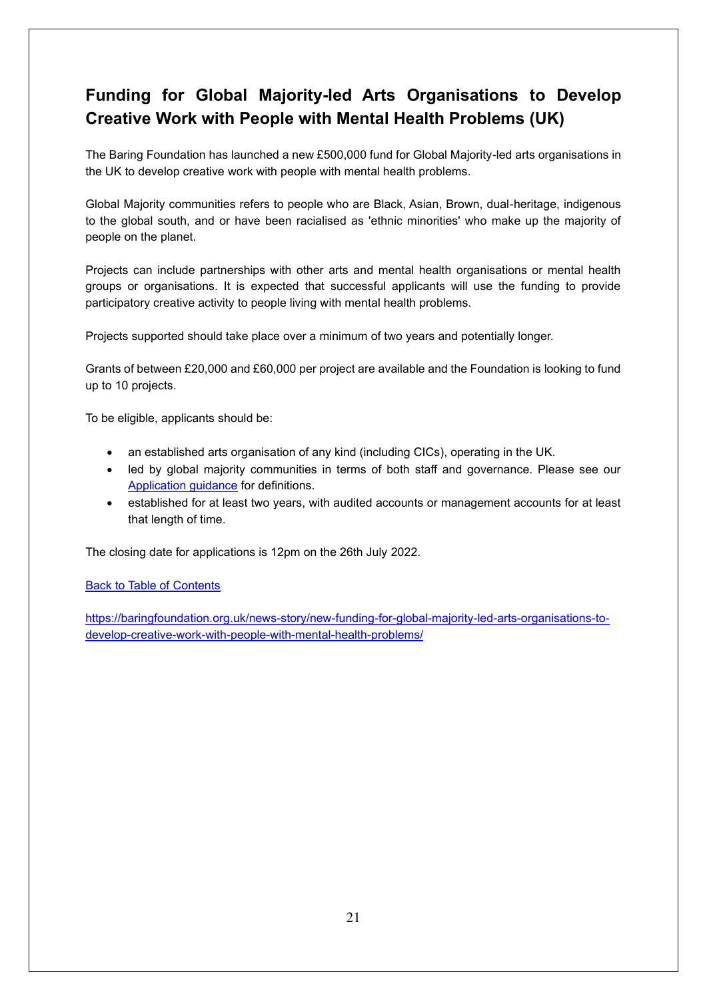## <span id="page-20-0"></span>**Funding for Global Majority-led Arts Organisations to Develop Creative Work with People with Mental Health Problems (UK)**

The Baring Foundation has launched a new £500,000 fund for Global Majority-led arts organisations in the UK to develop creative work with people with mental health problems.

Global Majority communities refers to people who are Black, Asian, Brown, dual-heritage, indigenous to the global south, and or have been racialised as 'ethnic minorities' who make up the majority of people on the planet.

Projects can include partnerships with other arts and mental health organisations or mental health groups or organisations. It is expected that successful applicants will use the funding to provide participatory creative activity to people living with mental health problems.

Projects supported should take place over a minimum of two years and potentially longer.

Grants of between £20,000 and £60,000 per project are available and the Foundation is looking to fund up to 10 projects.

To be eligible, applicants should be:

- an established arts organisation of any kind (including CICs), operating in the UK.
- led by global majority communities in terms of both staff and governance. Please see our [Application guidance f](https://cdn.baringfoundation.org.uk/wp-content/uploads/Application-guidelines-approved.pdf)or definitions.
- established for at least two years, with audited accounts or management accounts for at least that length of time.

The closing date for applications is 12pm on the 26th July 2022.

[Back to Table of Contents](file:///C:/Users/trici/Documents/Funding%20Insight%20Newsletter%206th%20April%202021.docx%23TOC)

[https://baringfoundation.org.uk/news-story/new-funding-for-global-majority-led-arts-organisations-to](https://baringfoundation.org.uk/news-story/new-funding-for-global-majority-led-arts-organisations-to-develop-creative-work-with-people-with-mental-health-problems/)[develop-creative-work-with-people-with-mental-health-problems/](https://baringfoundation.org.uk/news-story/new-funding-for-global-majority-led-arts-organisations-to-develop-creative-work-with-people-with-mental-health-problems/)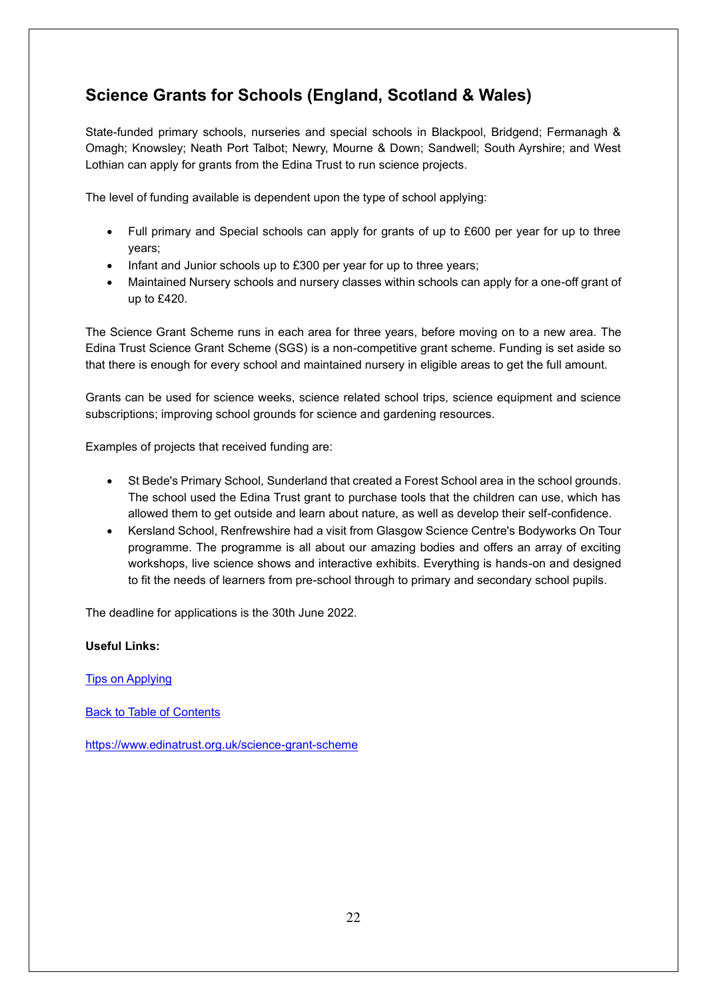## <span id="page-21-0"></span>**Science Grants for Schools (England, Scotland & Wales)**

State-funded primary schools, nurseries and special schools in Blackpool, Bridgend; Fermanagh & Omagh; Knowsley; Neath Port Talbot; Newry, Mourne & Down; Sandwell; South Ayrshire; and West Lothian can apply for grants from the Edina Trust to run science projects.

The level of funding available is dependent upon the type of school applying:

- Full primary and Special schools can apply for grants of up to £600 per year for up to three years;
- Infant and Junior schools up to £300 per year for up to three years;
- Maintained Nursery schools and nursery classes within schools can apply for a one-off grant of up to £420.

The Science Grant Scheme runs in each area for three years, before moving on to a new area. The Edina Trust Science Grant Scheme (SGS) is a non-competitive grant scheme. Funding is set aside so that there is enough for every school and maintained nursery in eligible areas to get the full amount.

Grants can be used for science weeks, science related school trips, science equipment and science subscriptions; improving school grounds for science and gardening resources.

Examples of projects that received funding are:

- St Bede's Primary School, Sunderland that created a Forest School area in the school grounds. The school used the Edina Trust grant to purchase tools that the children can use, which has allowed them to get outside and learn about nature, as well as develop their self-confidence.
- Kersland School, Renfrewshire had a visit from Glasgow Science Centre's Bodyworks On Tour programme. The programme is all about our amazing bodies and offers an array of exciting workshops, live science shows and interactive exhibits. Everything is hands-on and designed to fit the needs of learners from pre-school through to primary and secondary school pupils.

The deadline for applications is the 30th June 2022.

#### **Useful Links:**

[Tips on Applying](https://www.edinatrust.org.uk/tips-on-applying)

[Back to Table of Contents](file:///C:/Users/trici/Documents/Funding%20Insight%20Newsletter%206th%20April%202021.docx%23TOC)

<https://www.edinatrust.org.uk/science-grant-scheme>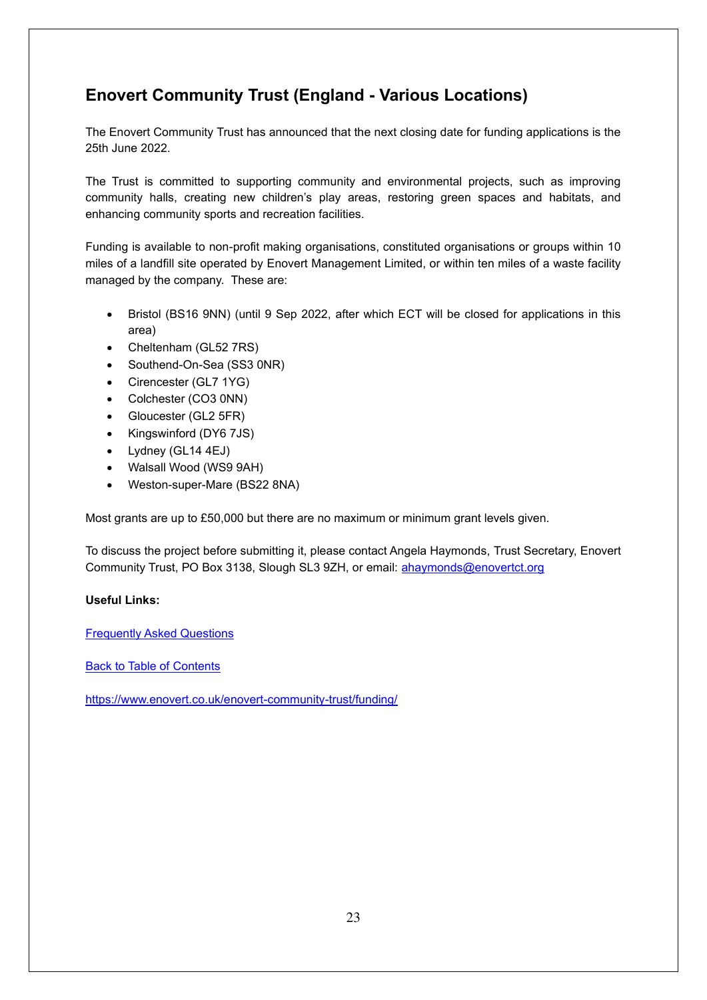## <span id="page-22-0"></span>**Enovert Community Trust (England - Various Locations)**

The Enovert Community Trust has announced that the next closing date for funding applications is the 25th June 2022.

The Trust is committed to supporting community and environmental projects, such as improving community halls, creating new children's play areas, restoring green spaces and habitats, and enhancing community sports and recreation facilities.

Funding is available to non-profit making organisations, constituted organisations or groups within 10 miles of a landfill site operated by Enovert Management Limited, or within ten miles of a waste facility managed by the company. These are:

- Bristol (BS16 9NN) (until 9 Sep 2022, after which ECT will be closed for applications in this area)
- Cheltenham (GL52 7RS)
- Southend-On-Sea (SS3 0NR)
- Cirencester (GL7 1YG)
- Colchester (CO3 0NN)
- Gloucester (GL2 5FR)
- Kingswinford (DY6 7JS)
- Lydney (GL14 4EJ)
- Walsall Wood (WS9 9AH)
- Weston-super-Mare (BS22 8NA)

Most grants are up to £50,000 but there are no maximum or minimum grant levels given.

To discuss the project before submitting it, please contact Angela Haymonds, Trust Secretary, Enovert Community Trust, PO Box 3138, Slough SL3 9ZH, or email: [ahaymonds@enovertct.org](mailto:ahaymonds@enovertct.org) 

#### **Useful Links:**

[Frequently Asked Questions](https://www.enovert.co.uk/enovert-community-trust/funding/frequently-asked-funding-questions/)

[Back to Table of Contents](file:///C:/Users/trici/Documents/Funding%20Insight%20Newsletter%206th%20April%202021.docx%23TOC)

<https://www.enovert.co.uk/enovert-community-trust/funding/>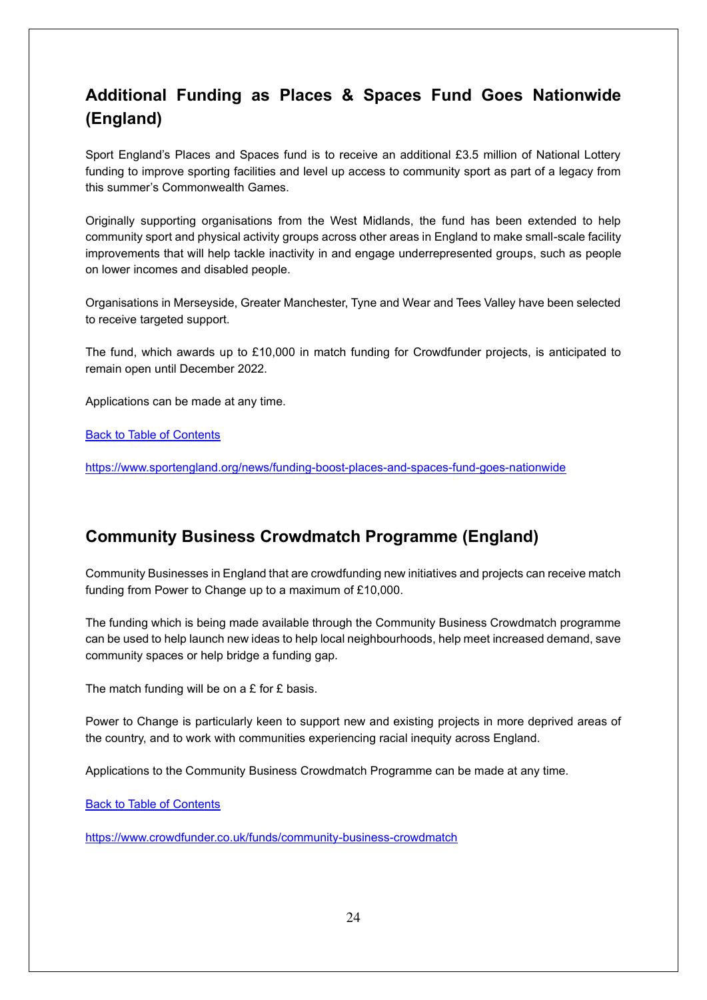## <span id="page-23-0"></span>**Additional Funding as Places & Spaces Fund Goes Nationwide (England)**

Sport England's Places and Spaces fund is to receive an additional £3.5 million of National Lottery funding to improve sporting facilities and level up access to community sport as part of a legacy from this summer's Commonwealth Games.

Originally supporting organisations from the West Midlands, the fund has been extended to help community sport and physical activity groups across other areas in England to make small-scale facility improvements that will help tackle inactivity in and engage underrepresented groups, such as people on lower incomes and disabled people.

Organisations in Merseyside, Greater Manchester, Tyne and Wear and Tees Valley have been selected to receive targeted support.

The fund, which awards up to £10,000 in match funding for Crowdfunder projects, is anticipated to remain open until December 2022.

Applications can be made at any time.

[Back to Table of Contents](file:///C:/Users/trici/Documents/Funding%20Insight%20Newsletter%206th%20April%202021.docx%23TOC)

<https://www.sportengland.org/news/funding-boost-places-and-spaces-fund-goes-nationwide>

#### <span id="page-23-1"></span>**Community Business Crowdmatch Programme (England)**

Community Businesses in England that are crowdfunding new initiatives and projects can receive match funding from Power to Change up to a maximum of £10,000.

The funding which is being made available through the Community Business Crowdmatch programme can be used to help launch new ideas to help local neighbourhoods, help meet increased demand, save community spaces or help bridge a funding gap.

The match funding will be on a  $E$  for  $E$  basis.

Power to Change is particularly keen to support new and existing projects in more deprived areas of the country, and to work with communities experiencing racial inequity across England.

Applications to the Community Business Crowdmatch Programme can be made at any time.

[Back to Table of Contents](file:///C:/Users/trici/Documents/Funding%20Insight%20Newsletter%206th%20April%202021.docx%23TOC)

<https://www.crowdfunder.co.uk/funds/community-business-crowdmatch>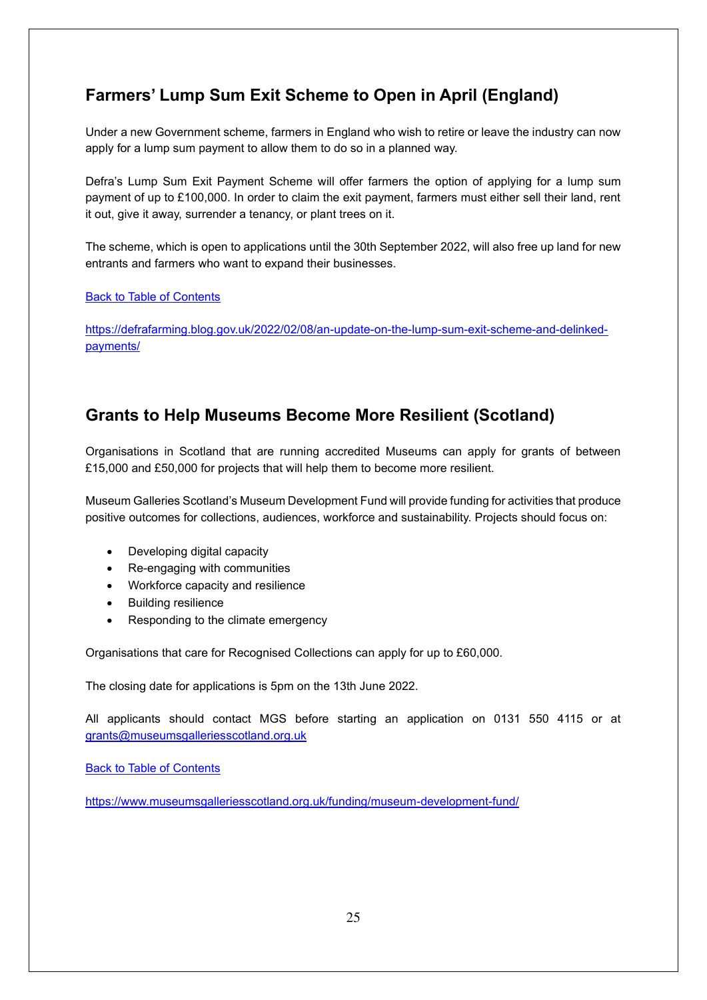## <span id="page-24-0"></span>**Farmers' Lump Sum Exit Scheme to Open in April (England)**

Under a new Government scheme, farmers in England who wish to retire or leave the industry can now apply for a lump sum payment to allow them to do so in a planned way.

Defra's Lump Sum Exit Payment Scheme will offer farmers the option of applying for a lump sum payment of up to £100,000. In order to claim the exit payment, farmers must either sell their land, rent it out, give it away, surrender a tenancy, or plant trees on it.

The scheme, which is open to applications until the 30th September 2022, will also free up land for new entrants and farmers who want to expand their businesses.

#### [Back to Table of Contents](file:///C:/Users/trici/Documents/Funding%20Insight%20Newsletter%206th%20April%202021.docx%23TOC)

[https://defrafarming.blog.gov.uk/2022/02/08/an-update-on-the-lump-sum-exit-scheme-and-delinked](https://defrafarming.blog.gov.uk/2022/02/08/an-update-on-the-lump-sum-exit-scheme-and-delinked-payments/)[payments/](https://defrafarming.blog.gov.uk/2022/02/08/an-update-on-the-lump-sum-exit-scheme-and-delinked-payments/)

### <span id="page-24-1"></span>**Grants to Help Museums Become More Resilient (Scotland)**

Organisations in Scotland that are running accredited Museums can apply for grants of between £15,000 and £50,000 for projects that will help them to become more resilient.

Museum Galleries Scotland's Museum Development Fund will provide funding for activities that produce positive outcomes for collections, audiences, workforce and sustainability. Projects should focus on:

- Developing digital capacity
- Re-engaging with communities
- Workforce capacity and resilience
- Building resilience
- Responding to the climate emergency

Organisations that care for Recognised Collections can apply for up to £60,000.

The closing date for applications is 5pm on the 13th June 2022.

All applicants should contact MGS before starting an application on 0131 550 4115 or at [grants@museumsgalleriesscotland.org.uk](mailto:grants@museumsgalleriesscotland.org.uk)

**[Back to Table of Contents](file:///C:/Users/trici/Documents/Funding%20Insight%20Newsletter%206th%20April%202021.docx%23TOC)** 

<https://www.museumsgalleriesscotland.org.uk/funding/museum-development-fund/>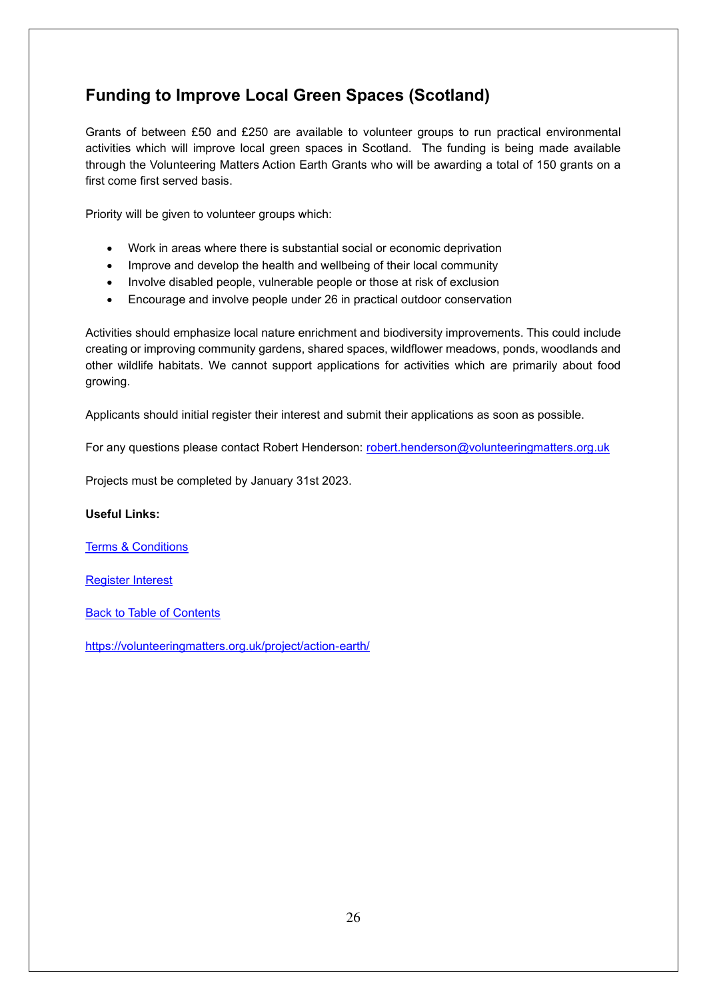## <span id="page-25-0"></span>**Funding to Improve Local Green Spaces (Scotland)**

Grants of between £50 and £250 are available to volunteer groups to run practical environmental activities which will improve local green spaces in Scotland. The funding is being made available through the Volunteering Matters Action Earth Grants who will be awarding a total of 150 grants on a first come first served basis.

Priority will be given to volunteer groups which:

- Work in areas where there is substantial social or economic deprivation
- Improve and develop the health and wellbeing of their local community
- Involve disabled people, vulnerable people or those at risk of exclusion
- Encourage and involve people under 26 in practical outdoor conservation

Activities should emphasize local nature enrichment and biodiversity improvements. This could include creating or improving community gardens, shared spaces, wildflower meadows, ponds, woodlands and other wildlife habitats. We cannot support applications for activities which are primarily about food growing.

Applicants should initial register their interest and submit their applications as soon as possible.

For any questions please contact Robert Henderson: [robert.henderson@volunteeringmatters.org.uk](mailto:robert.henderson@volunteeringmatters.org.uk)

Projects must be completed by January 31st 2023.

#### **Useful Links:**

[Terms & Conditions](https://volunteeringmatters.org.uk/app/uploads/2015/05/Action-Earth-TERMS-AND-CONDITIONS-2022.docx)

[Register Interest](https://bit.ly/AE2022App)

[Back to Table of Contents](file:///C:/Users/trici/Documents/Funding%20Insight%20Newsletter%206th%20April%202021.docx%23TOC)

<https://volunteeringmatters.org.uk/project/action-earth/>